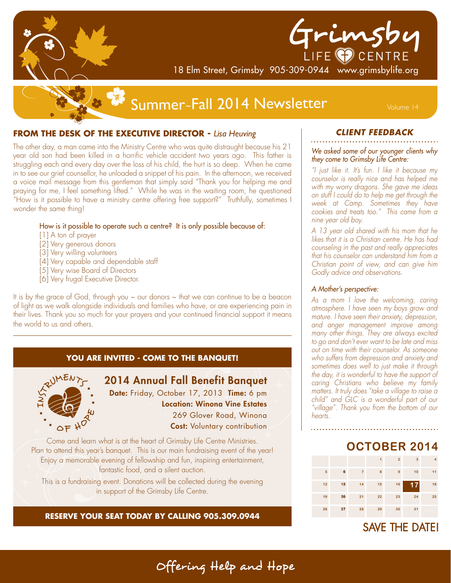

# Frimsby

18 Elm Street, Grimsby 905-309-0944 www.grimsbylife.org

# Summer~Fall 2014 Newsletter Wolume 14

#### **FROM THE DESK OF THE EXECUTIVE DIRECTOR - Lisa Heuving**

The other day, a man came into the Ministry Centre who was quite distraught because his 21 year old son had been killed in a horrific vehicle accident two years ago. This father is struggling each and every day over the loss of his child, the hurt is so deep. When he came in to see our grief counsellor, he unloaded a snippet of his pain. In the afternoon, we received a voice mail message from this gentleman that simply said "Thank you for helping me and praying for me, I feel something lifted." While he was in the waiting room, he questioned "How is it possible to have a ministry centre offering free support?" Truthfully, sometimes I wonder the same thing!

#### How is it possible to operate such a centre? It is only possible because of:

- [1] A ton of prayer
- [2] Very generous donors
- [3] Very willing volunteers
- [4] Very capable and dependable staff
- [5] Very wise Board of Directors
- [6] Very frugal Executive Director.

It is by the grace of God, through you  $\sim$  our donors  $\sim$  that we can continue to be a beacon of light as we walk alongside individuals and families who have, or are experiencing pain in their lives. Thank you so much for your prayers and your continued financial support it means the world to us and others.

#### **YOU ARE INVITED - COME TO THE BANQUET!**



### 2014 Annual Fall Benefit Banquet

Date: Friday, October 17, 2013 Time: 6 pm Location: Winona Vine Estates 269 Glover Road, Winona **Cost:** Voluntary contribution

Come and learn what is at the heart of Grimsby Life Centre Ministries. Plan to attend this year's banquet. This is our main fundraising event of the year! Enjoy a memorable evening of fellowship and fun, inspiring entertainment, fantastic food, and a silent auction.

This is a fundraising event. Donations will be collected during the evening in support of the Grimsby Life Centre.

#### **RESERVE YOUR SEAT TODAY BY CALLING 905.309.0944**

#### **CLIENT FEEDBACK**

#### We asked some of our younger clients why they come to Grimsby Life Centre:

"I just like it. It's fun. I like it because my counselor is really nice and has helped me with my worry dragons. She gave me ideas on stuff I could do to help me get through the week at Camp. Sometimes they have cookies and treats too." This came from a nine year old boy.

A 13 year old shared with his mom that he likes that it is a Christian centre. He has had counseling in the past and really appreciates that his counselor can understand him from a Christian point of view, and can give him Godly advice and observations.

#### A Mother's perspective:

As a mom I love the welcoming, caring atmosphere. I have seen my boys grow and mature. I have seen their anxiety, depression, and anger management improve among many other things. They are always excited to go and don't ever want to be late and miss out on time with their counselor. As someone who suffers from depression and anxiety and sometimes does well to just make it through the day, it is wonderful to have the support of caring Christians who believe my family matters. It truly does "take a village to raise a child" and GLC is a wonderful part of our "village". Thank you from the bottom of our hearts.

## OCTOBER 2014

|    |    |                | 1  | $\overline{2}$ | 3      | 4  |
|----|----|----------------|----|----------------|--------|----|
| 5  | 6  | $\overline{7}$ | 8  | 9              | 10     | 11 |
| 12 | 13 | 14             | 15 | 16             | 7<br>1 | 18 |
| 19 | 20 | 21             | 22 | 23             | 24     | 25 |
| 26 | 27 | 28             | 29 | 30             | 31     |    |

**SAVE THE DATE!** 

Offering Help and Hope